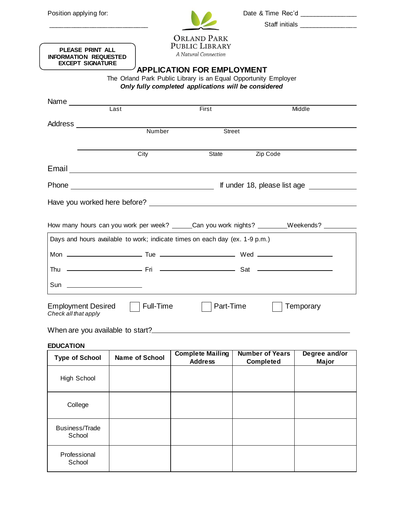

\_\_\_\_\_\_\_\_\_\_\_\_\_\_\_\_\_\_\_\_\_\_\_\_\_\_\_ Staff initials \_\_\_\_\_\_\_\_\_\_\_\_\_\_\_\_

| PLEASE PRINT ALL        |
|-------------------------|
| INFORMATION REQUESTED   |
| <b>EXCEPT SIGNATURE</b> |

## **APPLICATION FOR EMPLOYMENT**

The Orland Park Public Library is an Equal Opportunity Employer *Only fully completed applications will be considered*

|                                                   | Last                                                                        | First     | Middle                                                                                       |  |  |
|---------------------------------------------------|-----------------------------------------------------------------------------|-----------|----------------------------------------------------------------------------------------------|--|--|
|                                                   | Address _______________________                                             |           |                                                                                              |  |  |
|                                                   | Number                                                                      | Street    |                                                                                              |  |  |
|                                                   |                                                                             |           |                                                                                              |  |  |
|                                                   | City                                                                        | State     | Zip Code                                                                                     |  |  |
|                                                   |                                                                             |           |                                                                                              |  |  |
|                                                   |                                                                             |           | If under 18, please list age _____________                                                   |  |  |
|                                                   |                                                                             |           |                                                                                              |  |  |
|                                                   |                                                                             |           |                                                                                              |  |  |
|                                                   |                                                                             |           | How many hours can you work per week? ______Can you work nights? ________Weekends? _________ |  |  |
|                                                   | Days and hours available to work; indicate times on each day (ex. 1-9 p.m.) |           |                                                                                              |  |  |
|                                                   |                                                                             |           |                                                                                              |  |  |
|                                                   |                                                                             |           |                                                                                              |  |  |
|                                                   | Sun _____________________                                                   |           |                                                                                              |  |  |
| <b>Employment Desired</b><br>Check all that apply | Full-Time                                                                   | Part-Time | Temporary                                                                                    |  |  |

## When are you available to start?

## **EDUCATION**

| <b>Type of School</b>    | <b>Name of School</b> | <b>Complete Mailing</b><br><b>Address</b> | <b>Number of Years</b><br><b>Completed</b> | Degree and/or<br>Major |
|--------------------------|-----------------------|-------------------------------------------|--------------------------------------------|------------------------|
| High School              |                       |                                           |                                            |                        |
| College                  |                       |                                           |                                            |                        |
| Business/Trade<br>School |                       |                                           |                                            |                        |
| Professional<br>School   |                       |                                           |                                            |                        |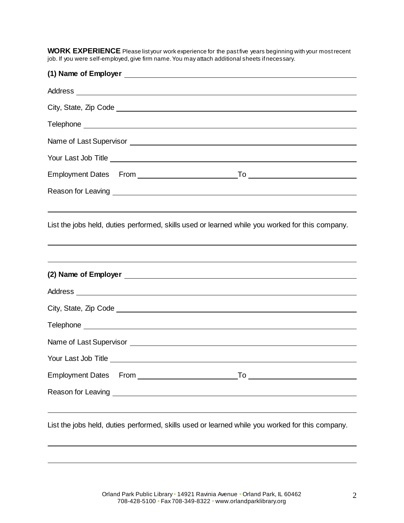WORK EXPERIENCE Please list your work experience for the past five years beginning with your most recent job. If you were self-employed, give firm name. You may attach additional sheets if necessary.

| Name of Last Supervisor <u>example and the contract of the contract of the contract of the contract of the contract of the contract of the contract of the contract of the contract of the contract of the contract of the contr</u> |  |  |  |
|--------------------------------------------------------------------------------------------------------------------------------------------------------------------------------------------------------------------------------------|--|--|--|
|                                                                                                                                                                                                                                      |  |  |  |
|                                                                                                                                                                                                                                      |  |  |  |
|                                                                                                                                                                                                                                      |  |  |  |
|                                                                                                                                                                                                                                      |  |  |  |
| List the jobs held, duties performed, skills used or learned while you worked for this company.<br>,我们也不会有什么。""我们的人,我们也不会有什么?""我们的人,我们也不会有什么?""我们的人,我们也不会有什么?""我们的人,我们也不会有什么?""我们的人                                                  |  |  |  |
|                                                                                                                                                                                                                                      |  |  |  |
|                                                                                                                                                                                                                                      |  |  |  |
|                                                                                                                                                                                                                                      |  |  |  |
|                                                                                                                                                                                                                                      |  |  |  |
|                                                                                                                                                                                                                                      |  |  |  |
|                                                                                                                                                                                                                                      |  |  |  |
|                                                                                                                                                                                                                                      |  |  |  |
|                                                                                                                                                                                                                                      |  |  |  |
|                                                                                                                                                                                                                                      |  |  |  |
| List the jobs held, duties performed, skills used or learned while you worked for this company.                                                                                                                                      |  |  |  |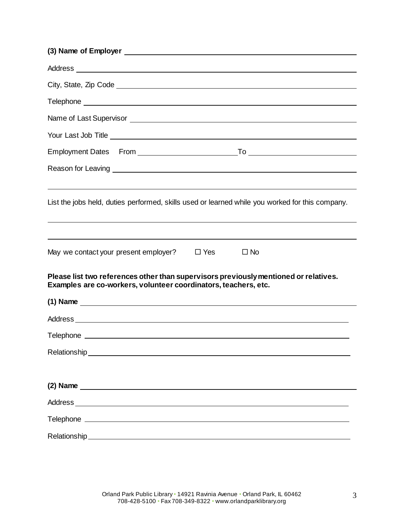| List the jobs held, duties performed, skills used or learned while you worked for this company.                                                                                                                                                                                            |  |  |  |  |
|--------------------------------------------------------------------------------------------------------------------------------------------------------------------------------------------------------------------------------------------------------------------------------------------|--|--|--|--|
|                                                                                                                                                                                                                                                                                            |  |  |  |  |
| May we contact your present employer?<br>$\square$ Yes<br>$\Box$ No                                                                                                                                                                                                                        |  |  |  |  |
| Please list two references other than supervisors previously mentioned or relatives.<br>Examples are co-workers, volunteer coordinators, teachers, etc.                                                                                                                                    |  |  |  |  |
| (1) Name $\frac{1}{2}$ and $\frac{1}{2}$ and $\frac{1}{2}$ and $\frac{1}{2}$ and $\frac{1}{2}$ and $\frac{1}{2}$ and $\frac{1}{2}$ and $\frac{1}{2}$ and $\frac{1}{2}$ and $\frac{1}{2}$ and $\frac{1}{2}$ and $\frac{1}{2}$ and $\frac{1}{2}$ and $\frac{1}{2}$ and $\frac{1}{2}$ and $\$ |  |  |  |  |
|                                                                                                                                                                                                                                                                                            |  |  |  |  |
|                                                                                                                                                                                                                                                                                            |  |  |  |  |
| Relationship experience and the contract of the contract of the contract of the contract of the contract of the contract of the contract of the contract of the contract of the contract of the contract of the contract of th                                                             |  |  |  |  |
|                                                                                                                                                                                                                                                                                            |  |  |  |  |
|                                                                                                                                                                                                                                                                                            |  |  |  |  |
|                                                                                                                                                                                                                                                                                            |  |  |  |  |
|                                                                                                                                                                                                                                                                                            |  |  |  |  |